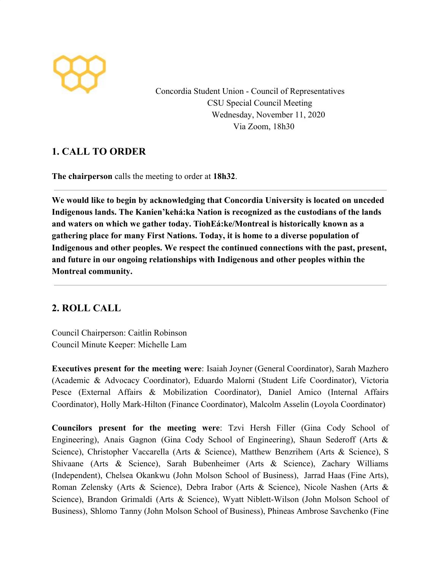

Concordia Student Union - Council of Representatives CSU Special Council Meeting Wednesday, November 11, 2020 Via Zoom, 18h30

# **1. CALL TO ORDER**

**The chairperson** calls the meeting to order at **18h32**.

**We would like to begin by acknowledging that Concordia University is located on unceded Indigenous lands. The Kanien'kehá:ka Nation is recognized as the custodians of the lands and waters on which we gather today. TiohEá:ke/Montreal is historically known as a gathering place for many First Nations. Today, it is home to a diverse population of Indigenous and other peoples. We respect the continued connections with the past, present, and future in our ongoing relationships with Indigenous and other peoples within the Montreal community.**

# **2. ROLL CALL**

Council Chairperson: Caitlin Robinson Council Minute Keeper: Michelle Lam

**Executives present for the meeting were**: Isaiah Joyner (General Coordinator), Sarah Mazhero (Academic & Advocacy Coordinator), Eduardo Malorni (Student Life Coordinator), Victoria Pesce (External Affairs & Mobilization Coordinator), Daniel Amico (Internal Affairs Coordinator), Holly Mark-Hilton (Finance Coordinator), Malcolm Asselin (Loyola Coordinator)

**Councilors present for the meeting were**: Tzvi Hersh Filler (Gina Cody School of Engineering), Anais Gagnon (Gina Cody School of Engineering), Shaun Sederoff (Arts & Science), Christopher Vaccarella (Arts & Science), Matthew Benzrihem (Arts & Science), S Shivaane (Arts & Science), Sarah Bubenheimer (Arts & Science), Zachary Williams (Independent), Chelsea Okankwu (John Molson School of Business), Jarrad Haas (Fine Arts), Roman Zelensky (Arts & Science), Debra Irabor (Arts & Science), Nicole Nashen (Arts & Science), Brandon Grimaldi (Arts & Science), Wyatt Niblett-Wilson (John Molson School of Business), Shlomo Tanny (John Molson School of Business), Phineas Ambrose Savchenko (Fine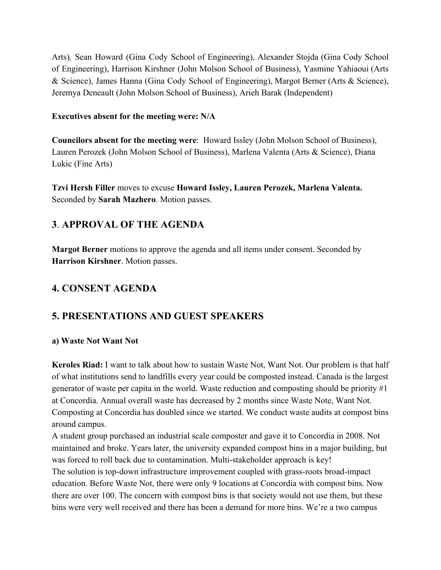Arts)*,* Sean Howard (Gina Cody School of Engineering), Alexander Stojda (Gina Cody School of Engineering), Harrison Kirshner (John Molson School of Business), Yasmine Yahiaoui (Arts & Science), James Hanna (Gina Cody School of Engineering), Margot Berner (Arts & Science), Jeremya Deneault (John Molson School of Business), Arieh Barak (Independent)

### **Executives absent for the meeting were: N/A**

**Councilors absent for the meeting were**: Howard Issley (John Molson School of Business), Lauren Perozek (John Molson School of Business), Marlena Valenta (Arts & Science), Diana Lukic (Fine Arts)

**Tzvi Hersh Filler** moves to excuse **Howard Issley, Lauren Perozek, Marlena Valenta.** Seconded by **Sarah Mazhero**. Motion passes.

# **3**. **APPROVAL OF THE AGENDA**

**Margot Berner** motions to approve the agenda and all items under consent. Seconded by **Harrison Kirshner**. Motion passes.

# **4. CONSENT AGENDA**

## **5. PRESENTATIONS AND GUEST SPEAKERS**

#### **a) Waste Not Want Not**

**Keroles Riad:** I want to talk about how to sustain Waste Not, Want Not. Our problem is that half of what institutions send to landfills every year could be composted instead. Canada is the largest generator of waste per capita in the world. Waste reduction and composting should be priority #1 at Concordia. Annual overall waste has decreased by 2 months since Waste Note, Want Not. Composting at Concordia has doubled since we started. We conduct waste audits at compost bins around campus.

A student group purchased an industrial scale composter and gave it to Concordia in 2008. Not maintained and broke. Years later, the university expanded compost bins in a major building, but was forced to roll back due to contamination. Multi-stakeholder approach is key!

The solution is top-down infrastructure improvement coupled with grass-roots broad-impact education. Before Waste Not, there were only 9 locations at Concordia with compost bins. Now there are over 100. The concern with compost bins is that society would not use them, but these bins were very well received and there has been a demand for more bins. We're a two campus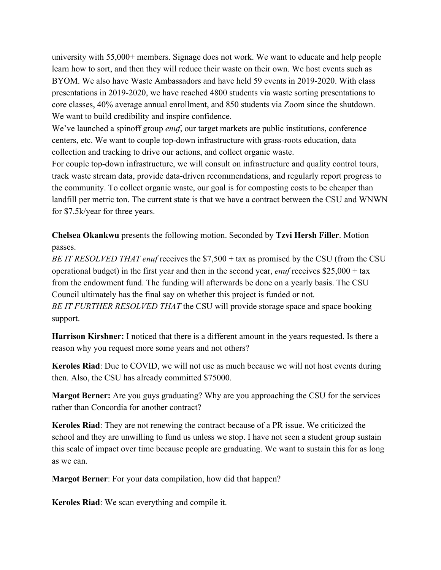university with 55,000+ members. Signage does not work. We want to educate and help people learn how to sort, and then they will reduce their waste on their own. We host events such as BYOM. We also have Waste Ambassadors and have held 59 events in 2019-2020. With class presentations in 2019-2020, we have reached 4800 students via waste sorting presentations to core classes, 40% average annual enrollment, and 850 students via Zoom since the shutdown. We want to build credibility and inspire confidence.

We've launched a spinoff group *enuf*, our target markets are public institutions, conference centers, etc. We want to couple top-down infrastructure with grass-roots education, data collection and tracking to drive our actions, and collect organic waste.

For couple top-down infrastructure, we will consult on infrastructure and quality control tours, track waste stream data, provide data-driven recommendations, and regularly report progress to the community. To collect organic waste, our goal is for composting costs to be cheaper than landfill per metric ton. The current state is that we have a contract between the CSU and WNWN for \$7.5k/year for three years.

**Chelsea Okankwu** presents the following motion. Seconded by **Tzvi Hersh Filler**. Motion passes.

*BE IT RESOLVED THAT enuf* receives the \$7,500 + tax as promised by the CSU (from the CSU operational budget) in the first year and then in the second year, *enuf* receives \$25,000 + tax from the endowment fund. The funding will afterwards be done on a yearly basis. The CSU Council ultimately has the final say on whether this project is funded or not. *BE IT FURTHER RESOLVED THAT* the CSU will provide storage space and space booking support.

**Harrison Kirshner:** I noticed that there is a different amount in the years requested. Is there a reason why you request more some years and not others?

**Keroles Riad**: Due to COVID, we will not use as much because we will not host events during then. Also, the CSU has already committed \$75000.

**Margot Berner:** Are you guys graduating? Why are you approaching the CSU for the services rather than Concordia for another contract?

**Keroles Riad**: They are not renewing the contract because of a PR issue. We criticized the school and they are unwilling to fund us unless we stop. I have not seen a student group sustain this scale of impact over time because people are graduating. We want to sustain this for as long as we can.

**Margot Berner**: For your data compilation, how did that happen?

**Keroles Riad**: We scan everything and compile it.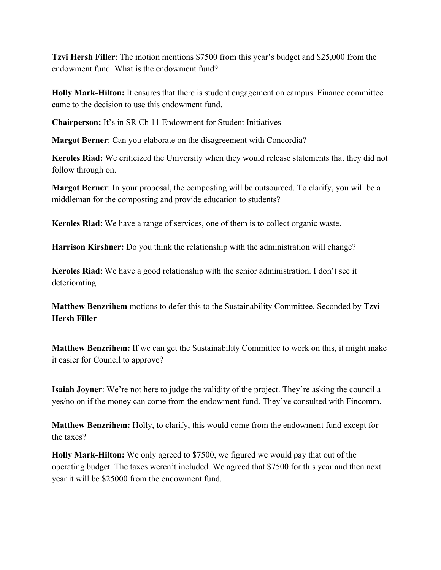**Tzvi Hersh Filler**: The motion mentions \$7500 from this year's budget and \$25,000 from the endowment fund. What is the endowment fund?

**Holly Mark-Hilton:** It ensures that there is student engagement on campus. Finance committee came to the decision to use this endowment fund.

**Chairperson:** It's in SR Ch 11 Endowment for Student Initiatives

**Margot Berner**: Can you elaborate on the disagreement with Concordia?

**Keroles Riad:** We criticized the University when they would release statements that they did not follow through on.

**Margot Berner**: In your proposal, the composting will be outsourced. To clarify, you will be a middleman for the composting and provide education to students?

**Keroles Riad**: We have a range of services, one of them is to collect organic waste.

**Harrison Kirshner:** Do you think the relationship with the administration will change?

**Keroles Riad**: We have a good relationship with the senior administration. I don't see it deteriorating.

**Matthew Benzrihem** motions to defer this to the Sustainability Committee. Seconded by **Tzvi Hersh Filler**

**Matthew Benzrihem:** If we can get the Sustainability Committee to work on this, it might make it easier for Council to approve?

**Isaiah Joyner**: We're not here to judge the validity of the project. They're asking the council a yes/no on if the money can come from the endowment fund. They've consulted with Fincomm.

**Matthew Benzrihem:** Holly, to clarify, this would come from the endowment fund except for the taxes?

**Holly Mark-Hilton:** We only agreed to \$7500, we figured we would pay that out of the operating budget. The taxes weren't included. We agreed that \$7500 for this year and then next year it will be \$25000 from the endowment fund.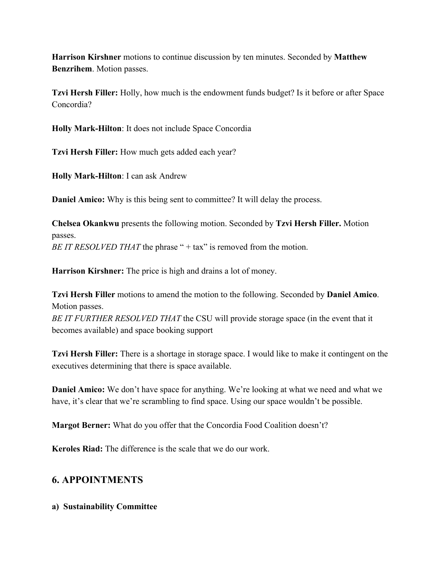**Harrison Kirshner** motions to continue discussion by ten minutes. Seconded by **Matthew Benzrihem**. Motion passes.

**Tzvi Hersh Filler:** Holly, how much is the endowment funds budget? Is it before or after Space Concordia?

**Holly Mark-Hilton**: It does not include Space Concordia

**Tzvi Hersh Filler:** How much gets added each year?

**Holly Mark-Hilton**: I can ask Andrew

**Daniel Amico:** Why is this being sent to committee? It will delay the process.

**Chelsea Okankwu** presents the following motion. Seconded by **Tzvi Hersh Filler.** Motion passes. *BE IT RESOLVED THAT* the phrase " + tax" is removed from the motion.

**Harrison Kirshner:** The price is high and drains a lot of money.

**Tzvi Hersh Filler** motions to amend the motion to the following. Seconded by **Daniel Amico**. Motion passes. *BE IT FURTHER RESOLVED THAT* the CSU will provide storage space (in the event that it becomes available) and space booking support

**Tzvi Hersh Filler:** There is a shortage in storage space. I would like to make it contingent on the executives determining that there is space available.

**Daniel Amico:** We don't have space for anything. We're looking at what we need and what we have, it's clear that we're scrambling to find space. Using our space wouldn't be possible.

**Margot Berner:** What do you offer that the Concordia Food Coalition doesn't?

**Keroles Riad:** The difference is the scale that we do our work.

### **6. APPOINTMENTS**

**a) Sustainability Committee**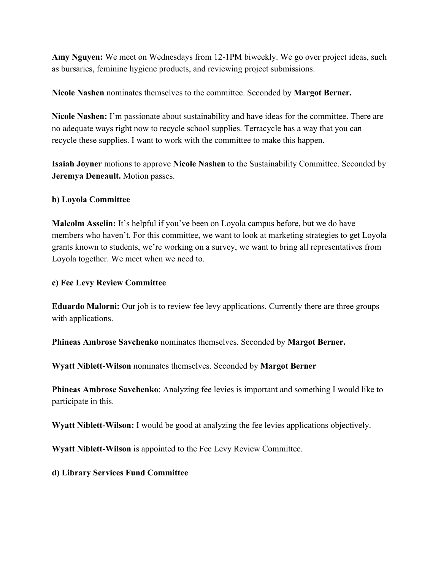**Amy Nguyen:** We meet on Wednesdays from 12-1PM biweekly. We go over project ideas, such as bursaries, feminine hygiene products, and reviewing project submissions.

**Nicole Nashen** nominates themselves to the committee. Seconded by **Margot Berner.**

**Nicole Nashen:** I'm passionate about sustainability and have ideas for the committee. There are no adequate ways right now to recycle school supplies. Terracycle has a way that you can recycle these supplies. I want to work with the committee to make this happen.

**Isaiah Joyner** motions to approve **Nicole Nashen** to the Sustainability Committee. Seconded by **Jeremya Deneault.** Motion passes.

#### **b) Loyola Committee**

**Malcolm Asselin:** It's helpful if you've been on Loyola campus before, but we do have members who haven't. For this committee, we want to look at marketing strategies to get Loyola grants known to students, we're working on a survey, we want to bring all representatives from Loyola together. We meet when we need to.

### **c) Fee Levy Review Committee**

**Eduardo Malorni:** Our job is to review fee levy applications. Currently there are three groups with applications.

**Phineas Ambrose Savchenko** nominates themselves. Seconded by **Margot Berner.**

**Wyatt Niblett-Wilson** nominates themselves. Seconded by **Margot Berner**

**Phineas Ambrose Savchenko:** Analyzing fee levies is important and something I would like to participate in this.

**Wyatt Niblett-Wilson:** I would be good at analyzing the fee levies applications objectively.

**Wyatt Niblett-Wilson** is appointed to the Fee Levy Review Committee.

**d) Library Services Fund Committee**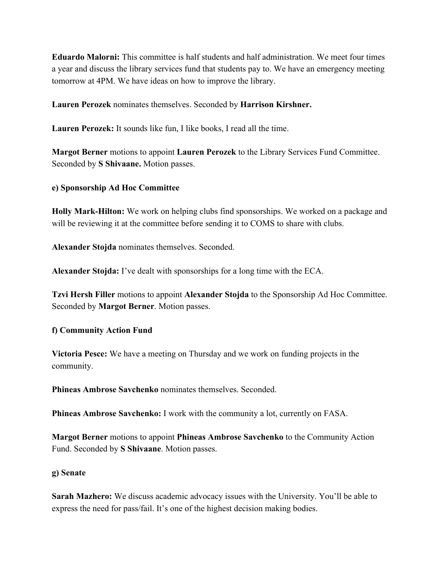**Eduardo Malorni:** This committee is half students and half administration. We meet four times a year and discuss the library services fund that students pay to. We have an emergency meeting tomorrow at 4PM. We have ideas on how to improve the library.

**Lauren Perozek** nominates themselves. Seconded by **Harrison Kirshner.**

**Lauren Perozek:** It sounds like fun, I like books, I read all the time.

**Margot Berner** motions to appoint **Lauren Perozek** to the Library Services Fund Committee. Seconded by **S Shivaane.** Motion passes.

#### **e) Sponsorship Ad Hoc Committee**

**Holly Mark-Hilton:** We work on helping clubs find sponsorships. We worked on a package and will be reviewing it at the committee before sending it to COMS to share with clubs.

**Alexander Stojda** nominates themselves. Seconded.

**Alexander Stojda:** I've dealt with sponsorships for a long time with the ECA.

**Tzvi Hersh Filler** motions to appoint **Alexander Stojda** to the Sponsorship Ad Hoc Committee. Seconded by **Margot Berner**. Motion passes.

#### **f) Community Action Fund**

**Victoria Pesce:** We have a meeting on Thursday and we work on funding projects in the community.

**Phineas Ambrose Savchenko** nominates themselves. Seconded.

**Phineas Ambrose Savchenko:** I work with the community a lot, currently on FASA.

**Margot Berner** motions to appoint **Phineas Ambrose Savchenko** to the Community Action Fund. Seconded by **S Shivaane**. Motion passes.

#### **g) Senate**

**Sarah Mazhero:** We discuss academic advocacy issues with the University. You'll be able to express the need for pass/fail. It's one of the highest decision making bodies.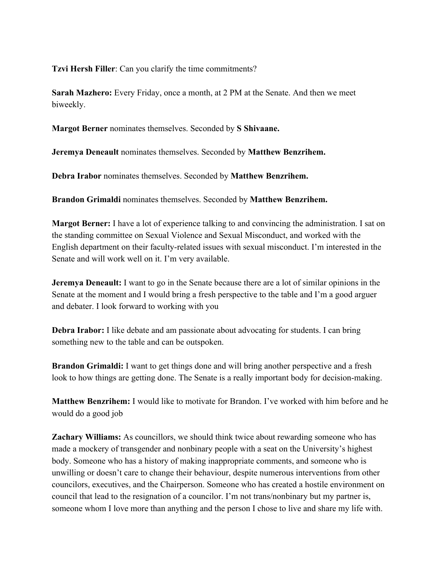**Tzvi Hersh Filler**: Can you clarify the time commitments?

**Sarah Mazhero:** Every Friday, once a month, at 2 PM at the Senate. And then we meet biweekly.

**Margot Berner** nominates themselves. Seconded by **S Shivaane.**

**Jeremya Deneault** nominates themselves. Seconded by **Matthew Benzrihem.**

**Debra Irabor** nominates themselves. Seconded by **Matthew Benzrihem.**

**Brandon Grimaldi** nominates themselves. Seconded by **Matthew Benzrihem.**

**Margot Berner:** I have a lot of experience talking to and convincing the administration. I sat on the standing committee on Sexual Violence and Sexual Misconduct, and worked with the English department on their faculty-related issues with sexual misconduct. I'm interested in the Senate and will work well on it. I'm very available.

**Jeremya Deneault:** I want to go in the Senate because there are a lot of similar opinions in the Senate at the moment and I would bring a fresh perspective to the table and I'm a good arguer and debater. I look forward to working with you

**Debra Irabor:** I like debate and am passionate about advocating for students. I can bring something new to the table and can be outspoken.

**Brandon Grimaldi:** I want to get things done and will bring another perspective and a fresh look to how things are getting done. The Senate is a really important body for decision-making.

**Matthew Benzrihem:** I would like to motivate for Brandon. I've worked with him before and he would do a good job

**Zachary Williams:** As councillors, we should think twice about rewarding someone who has made a mockery of transgender and nonbinary people with a seat on the University's highest body. Someone who has a history of making inappropriate comments, and someone who is unwilling or doesn't care to change their behaviour, despite numerous interventions from other councilors, executives, and the Chairperson. Someone who has created a hostile environment on council that lead to the resignation of a councilor. I'm not trans/nonbinary but my partner is, someone whom I love more than anything and the person I chose to live and share my life with.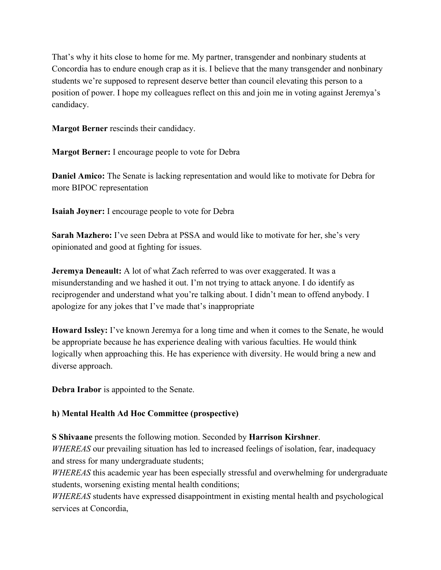That's why it hits close to home for me. My partner, transgender and nonbinary students at Concordia has to endure enough crap as it is. I believe that the many transgender and nonbinary students we're supposed to represent deserve better than council elevating this person to a position of power. I hope my colleagues reflect on this and join me in voting against Jeremya's candidacy.

**Margot Berner** rescinds their candidacy.

**Margot Berner:** I encourage people to vote for Debra

**Daniel Amico:** The Senate is lacking representation and would like to motivate for Debra for more BIPOC representation

**Isaiah Joyner:** I encourage people to vote for Debra

**Sarah Mazhero:** I've seen Debra at PSSA and would like to motivate for her, she's very opinionated and good at fighting for issues.

**Jeremya Deneault:** A lot of what Zach referred to was over exaggerated. It was a misunderstanding and we hashed it out. I'm not trying to attack anyone. I do identify as reciprogender and understand what you're talking about. I didn't mean to offend anybody. I apologize for any jokes that I've made that's inappropriate

**Howard Issley:** I've known Jeremya for a long time and when it comes to the Senate, he would be appropriate because he has experience dealing with various faculties. He would think logically when approaching this. He has experience with diversity. He would bring a new and diverse approach.

**Debra Irabor** is appointed to the Senate.

### **h) Mental Health Ad Hoc Committee (prospective)**

**S Shivaane** presents the following motion. Seconded by **Harrison Kirshner**.

*WHEREAS* our prevailing situation has led to increased feelings of isolation, fear, inadequacy and stress for many undergraduate students;

*WHEREAS* this academic year has been especially stressful and overwhelming for undergraduate students, worsening existing mental health conditions;

*WHEREAS* students have expressed disappointment in existing mental health and psychological services at Concordia,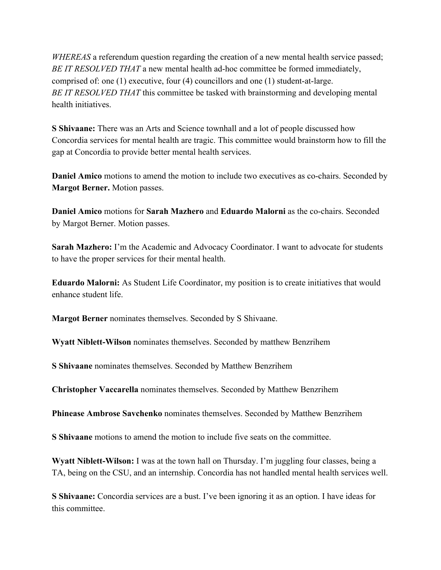*WHEREAS* a referendum question regarding the creation of a new mental health service passed; *BE IT RESOLVED THAT* a new mental health ad-hoc committee be formed immediately, comprised of: one (1) executive, four (4) councillors and one (1) student-at-large. *BE IT RESOLVED THAT* this committee be tasked with brainstorming and developing mental health initiatives.

**S Shivaane:** There was an Arts and Science townhall and a lot of people discussed how Concordia services for mental health are tragic. This committee would brainstorm how to fill the gap at Concordia to provide better mental health services.

**Daniel Amico** motions to amend the motion to include two executives as co-chairs. Seconded by **Margot Berner.** Motion passes.

**Daniel Amico** motions for **Sarah Mazhero** and **Eduardo Malorni** as the co-chairs. Seconded by Margot Berner. Motion passes.

**Sarah Mazhero:** I'm the Academic and Advocacy Coordinator. I want to advocate for students to have the proper services for their mental health.

**Eduardo Malorni:** As Student Life Coordinator, my position is to create initiatives that would enhance student life.

**Margot Berner** nominates themselves. Seconded by S Shivaane.

**Wyatt Niblett-Wilson** nominates themselves. Seconded by matthew Benzrihem

**S Shivaane** nominates themselves. Seconded by Matthew Benzrihem

**Christopher Vaccarella** nominates themselves. Seconded by Matthew Benzrihem

**Phinease Ambrose Savchenko** nominates themselves. Seconded by Matthew Benzrihem

**S Shivaane** motions to amend the motion to include five seats on the committee.

**Wyatt Niblett-Wilson:** I was at the town hall on Thursday. I'm juggling four classes, being a TA, being on the CSU, and an internship. Concordia has not handled mental health services well.

**S Shivaane:** Concordia services are a bust. I've been ignoring it as an option. I have ideas for this committee.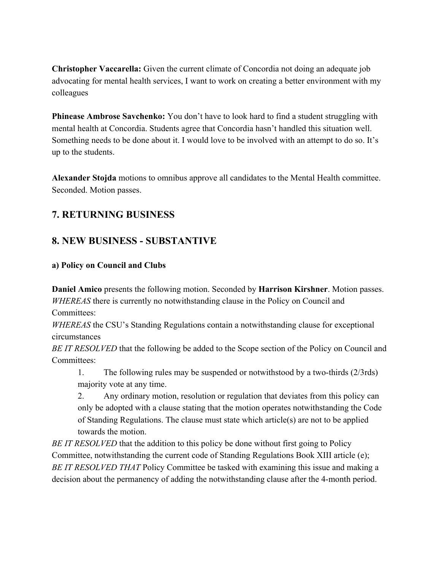**Christopher Vaccarella:** Given the current climate of Concordia not doing an adequate job advocating for mental health services, I want to work on creating a better environment with my colleagues

**Phinease Ambrose Savchenko:** You don't have to look hard to find a student struggling with mental health at Concordia. Students agree that Concordia hasn't handled this situation well. Something needs to be done about it. I would love to be involved with an attempt to do so. It's up to the students.

**Alexander Stojda** motions to omnibus approve all candidates to the Mental Health committee. Seconded. Motion passes.

# **7. RETURNING BUSINESS**

## **8. NEW BUSINESS - SUBSTANTIVE**

### **a) Policy on Council and Clubs**

**Daniel Amico** presents the following motion. Seconded by **Harrison Kirshner**. Motion passes. *WHEREAS* there is currently no notwithstanding clause in the Policy on Council and Committees:

*WHEREAS* the CSU's Standing Regulations contain a notwithstanding clause for exceptional circumstances

*BE IT RESOLVED* that the following be added to the Scope section of the Policy on Council and Committees:

1. The following rules may be suspended or notwithstood by a two-thirds (2/3rds) majority vote at any time.

2. Any ordinary motion, resolution or regulation that deviates from this policy can only be adopted with a clause stating that the motion operates notwithstanding the Code of Standing Regulations. The clause must state which article(s) are not to be applied towards the motion.

*BE IT RESOLVED* that the addition to this policy be done without first going to Policy Committee, notwithstanding the current code of Standing Regulations Book XIII article (e); *BE IT RESOLVED THAT* Policy Committee be tasked with examining this issue and making a decision about the permanency of adding the notwithstanding clause after the 4-month period.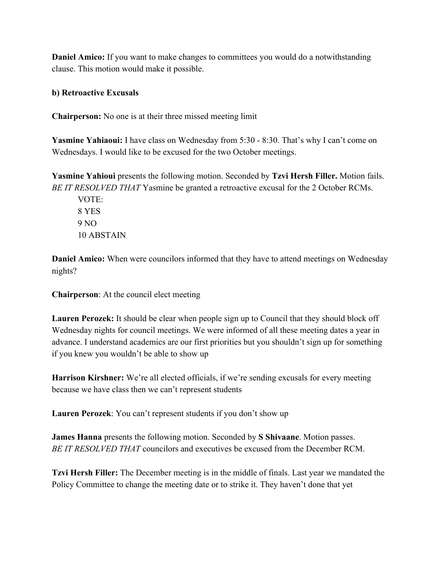**Daniel Amico:** If you want to make changes to committees you would do a notwithstanding clause. This motion would make it possible.

#### **b) Retroactive Excusals**

**Chairperson:** No one is at their three missed meeting limit

**Yasmine Yahiaoui:** I have class on Wednesday from 5:30 - 8:30. That's why I can't come on Wednesdays. I would like to be excused for the two October meetings.

**Yasmine Yahioui** presents the following motion. Seconded by **Tzvi Hersh Filler.** Motion fails. *BE IT RESOLVED THAT* Yasmine be granted a retroactive excusal for the 2 October RCMs.

VOTE: 8 YES 9 NO 10 ABSTAIN

**Daniel Amico:** When were councilors informed that they have to attend meetings on Wednesday nights?

**Chairperson**: At the council elect meeting

**Lauren Perozek:** It should be clear when people sign up to Council that they should block off Wednesday nights for council meetings. We were informed of all these meeting dates a year in advance. I understand academics are our first priorities but you shouldn't sign up for something if you knew you wouldn't be able to show up

**Harrison Kirshner:** We're all elected officials, if we're sending excusals for every meeting because we have class then we can't represent students

**Lauren Perozek**: You can't represent students if you don't show up

**James Hanna** presents the following motion. Seconded by **S Shivaane**. Motion passes. *BE IT RESOLVED THAT* councilors and executives be excused from the December RCM.

**Tzvi Hersh Filler:** The December meeting is in the middle of finals. Last year we mandated the Policy Committee to change the meeting date or to strike it. They haven't done that yet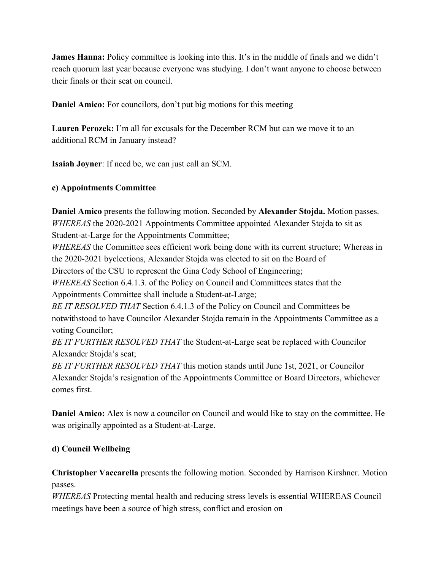**James Hanna:** Policy committee is looking into this. It's in the middle of finals and we didn't reach quorum last year because everyone was studying. I don't want anyone to choose between their finals or their seat on council.

**Daniel Amico:** For councilors, don't put big motions for this meeting

**Lauren Perozek:** I'm all for excusals for the December RCM but can we move it to an additional RCM in January instead?

**Isaiah Joyner**: If need be, we can just call an SCM.

### **c) Appointments Committee**

**Daniel Amico** presents the following motion. Seconded by **Alexander Stojda.** Motion passes. *WHEREAS* the 2020-2021 Appointments Committee appointed Alexander Stojda to sit as Student-at-Large for the Appointments Committee;

*WHEREAS* the Committee sees efficient work being done with its current structure; Whereas in the 2020-2021 byelections, Alexander Stojda was elected to sit on the Board of

Directors of the CSU to represent the Gina Cody School of Engineering;

*WHEREAS* Section 6.4.1.3. of the Policy on Council and Committees states that the Appointments Committee shall include a Student-at-Large;

*BE IT RESOLVED THAT* Section 6.4.1.3 of the Policy on Council and Committees be notwithstood to have Councilor Alexander Stojda remain in the Appointments Committee as a voting Councilor;

*BE IT FURTHER RESOLVED THAT* the Student-at-Large seat be replaced with Councilor Alexander Stojda's seat;

*BE IT FURTHER RESOLVED THAT* this motion stands until June 1st, 2021, or Councilor Alexander Stojda's resignation of the Appointments Committee or Board Directors, whichever comes first.

**Daniel Amico:** Alex is now a councilor on Council and would like to stay on the committee. He was originally appointed as a Student-at-Large.

### **d) Council Wellbeing**

**Christopher Vaccarella** presents the following motion. Seconded by Harrison Kirshner. Motion passes.

*WHEREAS* Protecting mental health and reducing stress levels is essential WHEREAS Council meetings have been a source of high stress, conflict and erosion on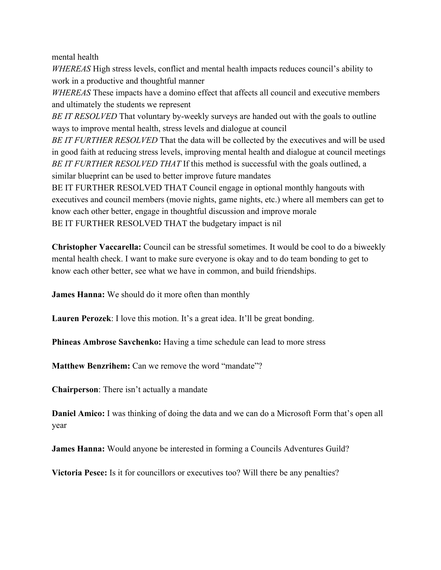mental health

*WHEREAS* High stress levels, conflict and mental health impacts reduces council's ability to work in a productive and thoughtful manner

*WHEREAS* These impacts have a domino effect that affects all council and executive members and ultimately the students we represent

*BE IT RESOLVED* That voluntary by-weekly surveys are handed out with the goals to outline ways to improve mental health, stress levels and dialogue at council

*BE IT FURTHER RESOLVED* That the data will be collected by the executives and will be used in good faith at reducing stress levels, improving mental health and dialogue at council meetings *BE IT FURTHER RESOLVED THAT* If this method is successful with the goals outlined, a similar blueprint can be used to better improve future mandates

BE IT FURTHER RESOLVED THAT Council engage in optional monthly hangouts with executives and council members (movie nights, game nights, etc.) where all members can get to know each other better, engage in thoughtful discussion and improve morale BE IT FURTHER RESOLVED THAT the budgetary impact is nil

**Christopher Vaccarella:** Council can be stressful sometimes. It would be cool to do a biweekly mental health check. I want to make sure everyone is okay and to do team bonding to get to know each other better, see what we have in common, and build friendships.

**James Hanna:** We should do it more often than monthly

**Lauren Perozek**: I love this motion. It's a great idea. It'll be great bonding.

**Phineas Ambrose Savchenko:** Having a time schedule can lead to more stress

**Matthew Benzrihem:** Can we remove the word "mandate"?

**Chairperson**: There isn't actually a mandate

**Daniel Amico:** I was thinking of doing the data and we can do a Microsoft Form that's open all year

**James Hanna:** Would anyone be interested in forming a Councils Adventures Guild?

**Victoria Pesce:** Is it for councillors or executives too? Will there be any penalties?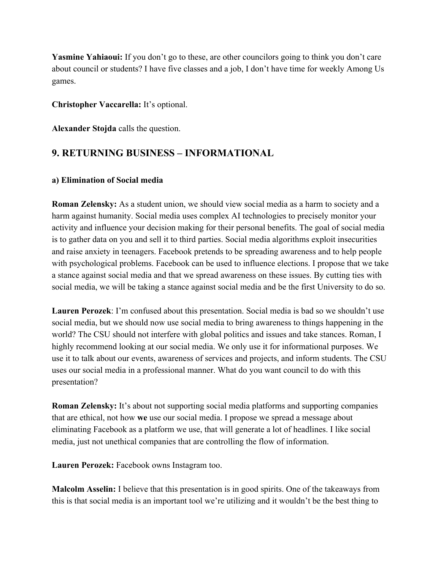**Yasmine Yahiaoui:** If you don't go to these, are other councilors going to think you don't care about council or students? I have five classes and a job, I don't have time for weekly Among Us games.

### **Christopher Vaccarella:** It's optional.

**Alexander Stojda** calls the question.

## **9. RETURNING BUSINESS – INFORMATIONAL**

### **a) Elimination of Social media**

**Roman Zelensky:** As a student union, we should view social media as a harm to society and a harm against humanity. Social media uses complex AI technologies to precisely monitor your activity and influence your decision making for their personal benefits. The goal of social media is to gather data on you and sell it to third parties. Social media algorithms exploit insecurities and raise anxiety in teenagers. Facebook pretends to be spreading awareness and to help people with psychological problems. Facebook can be used to influence elections. I propose that we take a stance against social media and that we spread awareness on these issues. By cutting ties with social media, we will be taking a stance against social media and be the first University to do so.

**Lauren Perozek**: I'm confused about this presentation. Social media is bad so we shouldn't use social media, but we should now use social media to bring awareness to things happening in the world? The CSU should not interfere with global politics and issues and take stances. Roman, I highly recommend looking at our social media. We only use it for informational purposes. We use it to talk about our events, awareness of services and projects, and inform students. The CSU uses our social media in a professional manner. What do you want council to do with this presentation?

**Roman Zelensky:** It's about not supporting social media platforms and supporting companies that are ethical, not how **we** use our social media. I propose we spread a message about eliminating Facebook as a platform we use, that will generate a lot of headlines. I like social media, just not unethical companies that are controlling the flow of information.

**Lauren Perozek:** Facebook owns Instagram too.

**Malcolm Asselin:** I believe that this presentation is in good spirits. One of the takeaways from this is that social media is an important tool we're utilizing and it wouldn't be the best thing to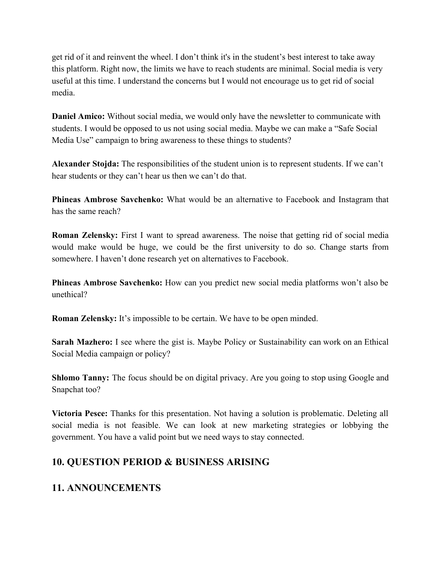get rid of it and reinvent the wheel. I don't think it's in the student's best interest to take away this platform. Right now, the limits we have to reach students are minimal. Social media is very useful at this time. I understand the concerns but I would not encourage us to get rid of social media.

**Daniel Amico:** Without social media, we would only have the newsletter to communicate with students. I would be opposed to us not using social media. Maybe we can make a "Safe Social Media Use" campaign to bring awareness to these things to students?

**Alexander Stojda:** The responsibilities of the student union is to represent students. If we can't hear students or they can't hear us then we can't do that.

**Phineas Ambrose Savchenko:** What would be an alternative to Facebook and Instagram that has the same reach?

**Roman Zelensky:** First I want to spread awareness. The noise that getting rid of social media would make would be huge, we could be the first university to do so. Change starts from somewhere. I haven't done research yet on alternatives to Facebook.

**Phineas Ambrose Savchenko:** How can you predict new social media platforms won't also be unethical?

**Roman Zelensky:** It's impossible to be certain. We have to be open minded.

**Sarah Mazhero:** I see where the gist is. Maybe Policy or Sustainability can work on an Ethical Social Media campaign or policy?

**Shlomo Tanny:** The focus should be on digital privacy. Are you going to stop using Google and Snapchat too?

**Victoria Pesce:** Thanks for this presentation. Not having a solution is problematic. Deleting all social media is not feasible. We can look at new marketing strategies or lobbying the government. You have a valid point but we need ways to stay connected.

## **10. QUESTION PERIOD & BUSINESS ARISING**

# **11. ANNOUNCEMENTS**